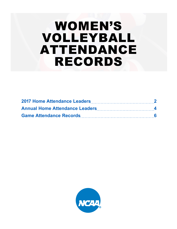# WOMEN'S VOLLEYBALL ATTENDANCE RECORDS

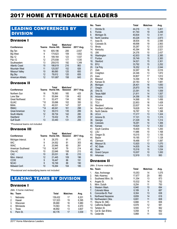# 2017 HOME ATTENDANCE LEADERS

## LEADING CONFERENCES BY **DIVISION**

#### Division I

| <b>Conference</b>     | <b>Teams</b> | <b>Total</b><br>Home Att. | Matches/<br><b>Session</b> | 2017 Avg. |
|-----------------------|--------------|---------------------------|----------------------------|-----------|
| Big Ten               | 14           | 605,196                   | 206                        | 2,937     |
| <b>Big West</b>       | 9            | 174.623                   | 109                        | 1,602     |
| <b>Big 12</b>         | 9            | 189.164                   | 123                        | 1,537     |
| Pac-12                | 12           | 270.938                   | 177                        | 1,530     |
| Southeastern          | 13           | 259.015                   | 192                        | 1,349     |
| <b>Atlantic Coast</b> | 15           | 186.619                   | 216                        | 863       |
| Mountain West         | 11           | 125.557                   | 152                        | 826       |
| Missouri Valley       | 10           | 86,690                    | 125                        | 693       |
| Big Sky               | 12           | 78.612                    | 120                        | 655       |
| American Athletic     | 12           | 101.687                   | 158                        | 643       |

#### Division II

| <b>Conference</b>      | Teams | <b>Total</b><br>Home Att. | Matches/<br><b>Session</b> | 2017 Avg. |
|------------------------|-------|---------------------------|----------------------------|-----------|
| Northern Sun           | 16    | 78,560                    | 185                        | 425       |
| Lone Star              | 11    | 55.844                    | 139                        | 402       |
| <b>Great Northwest</b> | 11    | 52.477                    | 134                        | 392       |
| <b>GLIAC</b>           | *10   | 35.696                    | 102                        | 350       |
| <b>MIAA</b>            | 12    | 49.531                    | 147                        | 337       |
| <b>RMAC</b>            | $*14$ | 48.041                    | 161                        | 298       |
| Great American         | 12    | 39.013                    | 135                        | 289       |
| South Atlantic         | 12    | 39,734                    | 142                        | 280       |
| Heartland              | 7     | 19.432                    | 75                         | 259       |
| <b>Gulf South</b>      | 13    | 33.440                    | 131                        | 255       |

*\*Provisional teams not included.*

#### Division III

| <b>Conference</b>  | Teams | <b>Total</b><br><b>Home Att.</b> | Matches/<br><b>Session</b> | 2017 Avg. |
|--------------------|-------|----------------------------------|----------------------------|-----------|
| Michigan Intercol. | 9     | 28.370                           | 91                         | 311       |
| <b>IIAC</b>        | 9     | 24.552                           | 81                         | 303       |
| <b>WIAC</b>        | 8     | 20.946                           | 80                         | 261       |
| American Southwest | *10   | 16.947                           | 79                         | 214       |
| Ohio AC            | 10    | 22.646                           | 106                        | 213       |
| <b>CAC</b>         | 10    | 20,031                           | 95                         | 210       |
| Minn. Intercol.    | 12    | 21,445                           | 109                        | 196       |
| <b>CCIW</b>        | 9     | 16.447                           | 86                         | 191       |
| <b>NCAC</b>        | 9     | 16,749                           | 88                         | 190       |
| Midwest Conf.      | 10    | 19.264                           | 104                        | 185       |

*\*Provisional and reclassifying teams not included.* 

# LEADING TEAMS BY DIVISION

#### Division I

|    | (Min. 5 home matches) |              |                |       |
|----|-----------------------|--------------|----------------|-------|
|    | No. Team              | <b>Total</b> | <b>Matches</b> | Avg.  |
| 1. | Nebraska              | 139.432      | 17             | 8.201 |
| 2. | Hawaii                | 121,523      | 19             | 6,395 |
| 3. | Wisconsin             | 95,680       | 16             | 5,980 |
| 4. | Minnesota             | 74,563       | 15             | 4,970 |
| 5. | Texas                 | 46.892       | 13             | 3,607 |
| 6. | Penn St.              | 60,176       | 17             | 3,539 |
|    |                       |              |                |       |

| No.        | Team                            | Total            | <b>Matches</b> | Avg.           |
|------------|---------------------------------|------------------|----------------|----------------|
| 7.         | Wichita St.                     | 44,216           | 13             | 3,401          |
| 8.         | Florida                         | 61,740           | 19             | 3,249          |
| 9.         | Michigan St.                    | 40,834           | 13             | 3,141          |
| 10.        | North Carolina                  | 40,226           | 14             | 2,873          |
| 11.        | lowa St.                        | 38,934           | 15             | 2,595          |
| 12.        | Colorado St.                    | 48,698           | 19             | 2,563          |
| 13.        | <b>Illinois</b>                 | 30,287           | 12             | 2,523          |
| 14.        | Kentucky                        | 45,394           | 18             | 2,521          |
| 15.<br>16. | UNI                             | 24,376           | 10             | 2,437          |
| 17.        | Washington<br>Purdue            | 42,933           | 18<br>15       | 2,385          |
| 18.        | Stanford                        | 35,749           | 15             | 2,383<br>2,301 |
| 19.        | <b>BYU</b>                      | 34,521<br>33,792 | 15             | 2,252          |
| 20.        | Cal Poly                        | 16,352           | 8              | 2,044          |
| 21.        | Utah                            | 32,267           | 16             | 2,016          |
| 22.        | Creighton                       | 24,346           | 13             | 1,872          |
| 23.        | lowa                            | 30,807           | 17             | 1,812          |
| 24.        | Missouri                        | 14,394           | 8              | 1,799          |
| 25.        | Kansas St.                      | 20,183           | 12             | 1,681          |
| 26.        | Michigan                        | 26,401           | 16             | 1,650          |
| 27.        | Oregon                          | 25,870           | 16             | 1,616          |
| 28.        | Ohio St.                        | 23,391           | 15             | 1,559          |
| 29.        | Texas A&M                       | 21,811           | 14             | 1,557          |
| 30.        | Arizona                         | 24,356           | 16             | 1,522          |
| 31.        | Omaha                           | 14,568           | 10             | 1,456          |
| 32.<br>33. | <b>TCU</b><br>Maryland          | 22,853<br>22,637 | 16<br>16       | 1,428<br>1,414 |
| 34.        | Southern California             | 19,628           | 14             | 1,402          |
| 35.        | North Dakota                    | 16,787           | 12             | 1,398          |
| 36.        | <b>UCLA</b>                     | 17,217           | 13             | 1,324          |
| 37.        | Arizona St.                     | 17,101           | 13             | 1,315          |
| 38.        | Georgia                         | 21,029           | 16             | 1,314          |
| 39.        | Colorado                        | 18,291           | 14             | 1,306          |
| 40.        | Kansas                          | 15,624           | 12             | 1,302          |
| 41.        | South Carolina                  | 19,400           | 15             | 1,293          |
| 42.        | LSU                             | 11,686           | 10             | 1,168          |
| 43.        | Oregon St.                      | 15,015           | 13             | 1,155          |
| 44.        | Baylor                          | 19,185           | 17             | 1,128          |
| 45.        | Clemson                         | 18,488           | 17             | 1,087          |
| 46.        | Missouri St.                    | 13,920           | 13             | 1,070          |
| 47.        | <b>NC State</b>                 | 14,835           | 14             | 1,059          |
| 48.<br>49. | Duke                            | 15,516           | 15<br>10       | 1,034          |
| 50.        | <b>Grand Canyon</b><br>Arkansas | 10,007<br>12,919 | 13             | 1,000<br>993   |
|            |                                 |                  |                |                |

#### Division II

| (Min. 5 home matches) |  |  |  |
|-----------------------|--|--|--|
|-----------------------|--|--|--|

|     | No. Team            | <b>Total</b> | <b>Matches</b> | Avg.  |
|-----|---------------------|--------------|----------------|-------|
| 1.  | Alas. Anchorage     | 15,053       | 14             | 1,075 |
| 2.  | Neb.-Kearney        | 17.677       | 20             | 883   |
| 3.  | Southwest Minn, St. | 11,354       | 13             | 873   |
| 4.  | Angelo St.          | 10,532       | 14             | 752   |
| 5.  | Minn. Duluth        | 8,254        | 11             | 750   |
| 6.  | Western Wash.       | 6.940        | 10             | 694   |
| 7.  | Colorado Mesa       | 6,189        | 9              | 687   |
| 8.  | Concordia-St. Paul  | 8,304        | 13             | 638   |
| 9.  | Northwest Nazarene  | 8.659        | 14             | 618   |
| 10. | Northwestern Okla.  | 6.691        | 11             | 608   |
| 11. | Wayne St. (NE)      | 6,666        | 11             | 606   |
| 12. | California Baptist  | 6,978        | 12             | 581   |
| 13. | Tarleton St.        | 9,555        | 17             | 562   |
| 14. | Cal St. San B'dino  | 5,058        | 9              | 562   |
| 15. | Cedarville          | 5,868        | 11             | 533   |
|     |                     |              |                |       |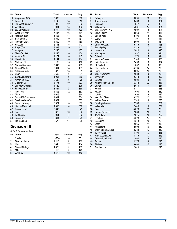|                   | No. Team                                                                         | <b>Total</b>                              | <b>Matches</b>            | Avg.                            |
|-------------------|----------------------------------------------------------------------------------|-------------------------------------------|---------------------------|---------------------------------|
| 16.               | Augustana (SD)                                                                   | 5,638                                     | 11                        | 512                             |
| 17.               | Ferris St.                                                                       | 7,142                                     | 14                        | 510                             |
| 18.               | Tex. A&M-Kingsville                                                              | 6,035                                     | 12                        | 502                             |
| 19.               | Washburn                                                                         | 6,901                                     | 14                        | 492                             |
| 20.               | Grand Valley St.                                                                 | 4,728                                     | 10                        | 472                             |
| 21.               | West Tex. A&M                                                                    | 7,437                                     | 16                        | 464                             |
| 22.               | Michigan Tech                                                                    | 6,403                                     | 14                        | 457                             |
| 23.               | St. Cloud St.                                                                    | 4,510                                     | 10                        | 451                             |
| 24.               | Northern Mich.                                                                   | 4,502                                     | 10                        | 450                             |
| 25.               | Hillsdale                                                                        | 6,718                                     | 15                        | 447                             |
| 26.               | Regis (CO)                                                                       | 8,398                                     | 19                        | 442                             |
| 27.               | Wingate                                                                          | 5,246                                     | 12                        | 437                             |
| 28.               | Minn.-Crookston                                                                  | 4,246                                     | 10                        | 424                             |
| 29.               | Winona St.                                                                       | 4,172                                     | 10                        | 417                             |
| 30.               | Hawaii Hilo                                                                      | 4,141                                     | 10                        | 414                             |
| 31.<br>32.<br>35. | Northern St.<br>Carson-Newman<br>33. Central Wash.<br>34. Arkansas Tech<br>Shaw  | 6,183<br>5,645<br>5,614<br>5,873<br>2,692 | 15<br>14<br>14<br>15<br>7 | 412<br>403<br>401<br>391<br>384 |
| 36.               | Saint Augustine's                                                                | 1,904                                     | 5                         | 380                             |
| 37.               | Albany St. (GA)                                                                  | 2,649                                     | $\overline{7}$            | 378                             |
| 38.               | Chadron St.                                                                      | 3,775                                     | 10                        | 377                             |
| 39.               | Lubbock Christian                                                                | 4,142                                     | 11                        | 376                             |
| 40.               | Fayetteville St.                                                                 | 3,324                                     | 9                         | 369                             |
| 41.               | North Ala.                                                                       | 4,405                                     | 12                        | 367                             |
| 42.               | Mary                                                                             | 4,006                                     | 11                        | 364                             |
| 43.               | Tex. A&M-Commerce                                                                | 4,012                                     | 11                        | 364                             |
| 44.               | Southwestern Okla.                                                               | 4,002                                     | 11                        | 363                             |
| 45.               | <b>Belmont Abbey</b>                                                             | 3,574                                     | 10                        | 357                             |
| 46.<br>47.<br>48. | <b>Lincoln Memorial</b><br>Eastern N.M.<br>Lee<br>49. Fort Lewis<br>50. Tusculum | 4,910<br>3,845<br>3,325<br>2,991<br>3,614 | 14<br>11<br>10<br>9<br>11 | 350<br>349<br>332<br>332<br>328 |
| 51.               | Fla. Southern<br><b>DIVISION III</b><br>(Min. 5 home matches)                    | 5,578                                     | 17                        | 328                             |

|    | No. Team               | Total  | <b>Matches</b> | Avg. |
|----|------------------------|--------|----------------|------|
| 1. | Calvin                 | 13.776 | 16             | 861  |
| 2. | Gust. Adolphus         | 4.118  | 9              | 457  |
| 3. | Hope                   | 5.448  | 12             | 454  |
| 4. | <b>Cornell College</b> | 4,078  | 9              | 453  |
| 5. | Millikin               | 3,119  |                | 445  |
| 6. | Wartburg               | 4.425  | 10             | 442  |

|                                        | No. Team                                                                             | Total                                              | <b>Matches</b>                      | Avg.                                   |
|----------------------------------------|--------------------------------------------------------------------------------------|----------------------------------------------------|-------------------------------------|----------------------------------------|
| 7.<br>8.<br>9.                         | Dubuque<br><b>Texas-Dallas</b><br>Simpson<br>10. Wittenberg                          | 3,895<br>3,463<br>1,842<br>5,061                   | 10<br>9<br>5<br>14                  | 389<br>384<br>368<br>361               |
| 11.                                    | Wis.-Stevens Point                                                                   | 2,892                                              | 8                                   | 361                                    |
| 12.                                    | Salve Regina                                                                         | 3,869                                              | 11                                  | 351                                    |
| 13.                                    | <b>Buena Vista</b>                                                                   | 2,795                                              | 8                                   | 349                                    |
| 14.                                    | Luther                                                                               | 1,707                                              | 5                                   | 341                                    |
| 15.                                    | Wis.-Stout                                                                           | 2,009                                              | 6                                   | 334                                    |
| 16.                                    | Chris. Newport                                                                       | 5,175                                              | 16                                  | 323                                    |
| 17.                                    | Bethel (MN)                                                                          | 2,249                                              | 7                                   | 321                                    |
| 18.                                    | Lawrence                                                                             | 2,844                                              | 9                                   | 316                                    |
| 19.                                    | Muskingum                                                                            | 1,887                                              | 6                                   | 314                                    |
| 20.<br>21.<br>22.<br>23.<br>24.<br>25. | Grinnell<br>Wis.-La Crosse<br>Saint Benedict<br>St. Norbert<br>Ohio Northern         | 1,574<br>2,140<br>2,438<br>1,802<br>4,194<br>3,895 | 5<br>7<br>8<br>6<br>14<br>13        | 314<br>305<br>304<br>300<br>299<br>299 |
| 26.<br>27.<br>28.<br>29.<br>30.        | Berry<br>Wis.-Whitewater<br>Whitworth<br>Denison<br>Northwestern-St. Paul<br>Capital | 2,688<br>2,343<br>2,604<br>6,348<br>2,013          | 9<br>8<br>9<br>22<br>$\overline{7}$ | 298<br>292<br>289<br>288<br>287        |
| 31.                                    | Hunter                                                                               | 3,114                                              | 11                                  | 283                                    |
| 32.                                    | Nazareth                                                                             | 1,693                                              | 6                                   | 282                                    |
| 33.                                    | Lakeland                                                                             | 1,692                                              | 6                                   | 282                                    |
| 34.                                    | Wis.-Eau Claire                                                                      | 3,372                                              | 12                                  | 281                                    |
| 35.                                    | <b>William Peace</b>                                                                 | 2,240                                              | 8                                   | 280                                    |
| 36.                                    | Randolph-Macon                                                                       | 2,989                                              | 11                                  | 271                                    |
| 37.                                    | Willamette                                                                           | 2,445                                              | 9                                   | 271                                    |
| 38.                                    | Coe                                                                                  | 4,023                                              | 15                                  | 268                                    |
| 39.                                    | Hardin-Simmons                                                                       | 2,689                                              | 10                                  | 268                                    |
| 40.                                    | Texas-Tyler                                                                          | 2,675                                              | 10                                  | 267                                    |
| 41.                                    | Otterbein                                                                            | 4,528                                              | 17                                  | 266                                    |
| 42.                                    | Gallaudet                                                                            | 4,248                                              | 16                                  | 265                                    |
| 43.                                    | Loras                                                                                | 2,866                                              | 11                                  | 260                                    |
| 44.                                    | Heidelberg                                                                           | 2,598                                              | 10                                  | 259                                    |
| 45.                                    | Washington-St. Louis                                                                 | 3,283                                              | 13                                  | 252                                    |
| 46.                                    | III. Wesleyan                                                                        | 4,196                                              | 17                                  | 246                                    |
| 47.                                    | Mary Washington                                                                      | 3,185                                              | 13                                  | 245                                    |
| 48.                                    | Concordia-M'head                                                                     | 1,962                                              | 8                                   | 245                                    |
| 49.                                    | Emory                                                                                | 4,375                                              | 18                                  | 243                                    |
| 50.                                    | <b>Bluffton</b>                                                                      | 3,600                                              | 15                                  | 240                                    |
| 51.                                    | Southern Va.                                                                         | 2,640                                              | 11                                  | 240                                    |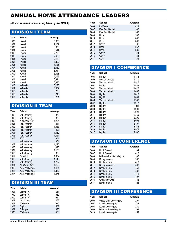# ANNUAL HOME ATTENDANCE LEADERS

*(Since compilation was completed by the NCAA)*

#### DIVISION I TEAM

| Year | <b>School</b> | Average |
|------|---------------|---------|
| 1998 | Hawaii        | 6,880   |
| 1999 | Hawaii        | 7,139   |
| 2000 | Hawaii        | 6,986   |
| 2001 | Hawaii        | 6,514   |
| 2002 | Hawaii        | 7,208   |
| 2003 | Hawaii        | 7,486   |
| 2004 | Hawaii        | 7,135   |
| 2005 | Hawaii        | 7,302   |
| 2006 | Hawaii        | 7,186   |
| 2007 | Hawaii        | 6,452   |
| 2008 | Hawaii        | 5,944   |
| 2009 | Hawaii        | 6,423   |
| 2010 | Hawaii        | 6,169   |
| 2011 | Hawaii        | 6,814   |
| 2012 | Hawaii        | 6,675   |
| 2013 | Nebraska      | 8,175   |
| 2014 | Nebraska      | 8,082   |
| 2015 | Nebraska      | 8,206   |
| 2016 | Nebraska      | 8,210   |
| 2017 | Nebraska      | 8,201   |

# DIVISION II TEAM

| Year | <b>School</b>   | Average |
|------|-----------------|---------|
| 1998 | Neb.-Kearney    | 872     |
| 1999 | Neb.-Kearney    | 835     |
| 2000 | Augustana (SD)  | 1.204   |
| 2001 | Neb.-Kearney    | 941     |
| 2002 | Neb.-Kearney    | 1,038   |
| 2003 | Neb.-Kearney    | 928     |
| 2004 | Neb.-Kearney    | 1,452   |
| 2005 | Neb.-Kearney    | 1,851   |
| 2006 | <b>FGCU</b>     | 951     |
|      | Neb.-Kearney    | 951     |
| 2007 | Neb.-Kearney    | 1,195   |
| 2008 | Neb.-Kearney    | 995     |
| 2009 | Neb.-Kearney    | 1,100   |
| 2010 | Neb.-Kearney    | 889     |
| 2011 | Benedict        | 1,032   |
| 2012 | Neb.-Kearney    | 1,140   |
| 2013 | Neb.-Kearney    | 1,207   |
| 2014 | Albany St. (GA) | 1,165   |
| 2015 | Alas. Anchorage | 1,481   |
| 2016 | Alas. Anchorage | 1,387   |
| 2017 | Alas. Anchorage | 1,075   |

## DIVISION III TEAM

| Year | School       | Average |
|------|--------------|---------|
| 1998 | Central (IA) | 617     |
| 1999 | Central (IA) | 530     |
| 2000 | Central (IA) | 644     |
| 2001 | Muskingum    | 462     |
| 2002 | Whitworth    | 570     |
| 2003 | Capital      | 552     |
| 2004 | Dubuque      | 378     |
| 2005 | Whitworth    | 438     |

| Year | School            | Average |
|------|-------------------|---------|
| 2006 | La Verne          | 421     |
| 2007 | East Tex. Baptist | 590     |
| 2008 | East Tex. Baptist | 566     |
| 2009 | Hope              | 992     |
| 2010 | Hope              | 802     |
| 2011 | Calvin            | 803     |
| 2012 | Calvin            | 732     |
| 2013 | Hope              | 867     |
| 2014 | Hope              | 830     |
| 2015 | Calvin            | 744     |
| 2016 | Calvin            | 758     |
| 2017 | Calvin            | 861     |
|      |                   |         |

# DIVISION I CONFERENCE

| Year | School                  | Average |
|------|-------------------------|---------|
| 1998 | Big Ten                 | 1,378   |
| 1999 | <b>Western Athletic</b> | 1,810   |
| 2000 | Western Athletic        | 1,515   |
| 2001 | Big Ten                 | 1,438   |
| 2002 | Western Athletic        | 1,626   |
| 2003 | Western Athletic        | 1,688   |
| 2004 | Big Ten                 | 1,819   |
| 2005 | <b>Big 12</b>           | 1,831   |
| 2006 | Western Athletic        | 1,908   |
| 2007 | Big Ten                 | 1,917   |
| 2008 | Big Ten                 | 2,011   |
| 2009 | Big Ten                 | 1,990   |
| 2010 | Big Ten                 | 2,021   |
| 2011 | Big Ten                 | 2,350   |
| 2012 | Big Ten                 | 2,290   |
| 2013 | Big Ten                 | 2,903   |
| 2014 | Big Ten                 | 2,707   |
| 2015 | Big Ten                 | 2,834   |
| 2016 | Big Ten                 | 2,976   |
| 2017 | Big Ten                 | 2,937   |

## DIVISION II CONFERENCE

| Year | School                      | Average |
|------|-----------------------------|---------|
| 2006 | North Central               | 394     |
| 2007 | North Central               | 416     |
| 2008 | Mid-America Intercollegiate | 390     |
| 2009 | Rocky Mountain              | 367     |
| 2010 | Northern Sun                | 413     |
| 2011 | Rocky Mountain              | 403     |
| 2012 | Northern Sun                | 453     |
| 2013 | Northern Sun                | 433     |
| 2014 | Northern Sun                | 413     |
| 2015 | Northern Sun                | 497     |
| 2016 | <b>Great Northwest</b>      | 486     |
| 2017 | Northern Sun                | 425     |

### DIVISION III CONFERENCE

| <b>School</b>             | Average |
|---------------------------|---------|
| Wisconsin Intercollegiate | 207     |
| lowa Intercollegiate      | 242     |
| lowa Intercollegiate      | 240     |
| Michigan Intercollegiate  | 298     |
| lowa Intercollegiate      | 252     |
|                           |         |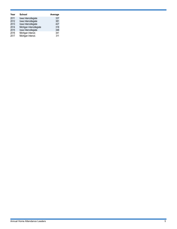| Year | <b>School</b>            | Average |
|------|--------------------------|---------|
| 2011 | lowa Intercollegiate     | 337     |
| 2012 | lowa Intercollegiate     | 381     |
| 2013 | lowa Intercollegiate     | 427     |
| 2014 | Michigan Intercollegiate | 318     |
| 2015 | lowa Intercollegiate     | 348     |
| 2016 | Michigan Intercol.       | 341     |
| 2017 | Michigan Intercol.       | 311     |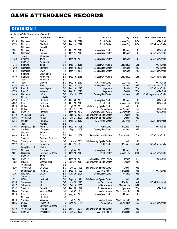# GAME ATTENDANCE RECORDS

# DIVISION I

|                  | (Includes NCAA Tournament Matches) |                          |                |                                 |                                                                      |                               |                 |                          |
|------------------|------------------------------------|--------------------------|----------------|---------------------------------|----------------------------------------------------------------------|-------------------------------|-----------------|--------------------------|
| Att.             | Winner                             | <b>Opponent</b>          | Score          | <b>Date</b>                     | Arena <sup>^</sup>                                                   | City                          | <b>State</b>    | <b>Tournament Round</b>  |
| 18,516           | Nebraska                           | Florida                  | $3-1$          | Dec. 16, 2017                   | Sprint Center                                                        | Kansas City                   | <b>MO</b>       | <b>NCAA</b> final        |
| 18,374           | Florida                            | Stanford                 | $3-2$          | Dec. 14, 2017                   | <b>Sprint Center</b>                                                 | Kansas City                   | <b>MO</b>       | <b>NCAA</b> semifinals   |
|                  | Nebraska                           | Penn St.                 | $3-2$          |                                 |                                                                      |                               |                 |                          |
| 17,561           | Nebraska                           | Texas                    | $3-0$          | Dec. 19, 2015                   | CenturyLink Center                                                   | Omaha                         | <b>NE</b>       | <b>NCAA</b> final        |
| 17,551           | Nebraska                           | Kansas                   | $3-1$          | Dec. 17, 2015                   | CenturyLink Center                                                   | Omaha                         | <b>NE</b>       | <b>NCAA</b> semifinals   |
|                  | Texas                              | Minnesota                | $3-1$<br>$3-2$ |                                 |                                                                      |                               | <b>NE</b>       |                          |
| 17,430           | Stanford<br>Penn St.               | Texas<br>Nebraska        | $3-2$          | Dec. 18, 2008                   | CenturyLink Center                                                   | Omaha                         |                 | <b>NCAA</b> semifinals   |
| 17,345           | Stanford                           | Texas                    | $3-1$          | Dec. 17, 2016                   | Nationwide Arena                                                     | Columbus                      | OH              | <b>NCAA</b> final        |
| 17,209           | Nebraska                           | Stanford                 | $3-1$          | Dec. 16, 2006                   | CenturyLink Center                                                   | Omaha                         | <b>NE</b>       | <b>NCAA final</b>        |
| 17,014           | Nebraska                           | <b>UCLA</b>              | $3-1$          | Dec. 14, 2006                   | CenturyLink Center                                                   | Omaha                         | <b>NE</b>       | <b>NCAA</b> semifinals   |
|                  | Stanford                           | Washington               | $3-0$          |                                 |                                                                      |                               |                 |                          |
| 16,670           | Stanford                           | Minnesota                | $3-1$          | Dec. 15, 2016                   | Nationwide Arena                                                     | Columbus                      | OH              | <b>NCAA</b> semifinals   |
|                  | Texas                              | Nebraska                 | $3-0$          |                                 |                                                                      |                               |                 |                          |
| 16,448           | Texas                              | Oregon                   | $3-0$          | Dec. 15, 2012                   | <b>KFC Yum! Center</b>                                               | Louisville                    | KY              | <b>NCAA</b> final        |
| 15,119           | Nebraska                           | Florida                  | $3-0$          | Dec. 10, 2005                   | CenturyLink Center                                                   | Omaha                         | <b>NE</b>       | NCAA regional final      |
| 14,975           | Penn St.                           | Washington               | $3-0$          | Dec. 19, 2013                   | KeyArena                                                             | Seattle                       | <b>WA</b>       | <b>NCAA</b> semifinals   |
| 14,779           | Penn St.                           | Wisconsin                | $3-1$          | Dec. 21, 2013                   | KeyArena                                                             | Seattle                       | <b>WA</b>       | <b>NCAA</b> final        |
| 14,489           | Nebraska                           | <b>UCLA</b>              | $3-0$          | Dec. 9, 2005                    | CenturyLink Center                                                   | Omaha                         | <b>NE</b>       | NCAA regional semifinals |
|                  | Florida                            | Louisville               | $3-0$          |                                 |                                                                      |                               |                 |                          |
| 14,299           | Penn St.                           | Stanford                 | $3-0$          | Dec. 20, 2008                   | CenturyLink Center                                                   | Omaha                         | <b>NE</b>       | NCAA final               |
| 14,032           | Penn St.                           | California               | $3-0$          | Dec. 18, 2010                   | Sprint Center                                                        | Kansas City                   | <b>MO</b>       | <b>NCAA</b> final        |
| 13,870           | <b>UCLA</b>                        | *Nebraska                | $3-2$          | Sept. 13, 2009                  | <b>Bob Devaney Sports Center</b>                                     | Lincoln                       | <b>NE</b>       |                          |
| 13,747           | <b>UCLA</b>                        | <b>Illinois</b>          | $3-1$          | Dec. 17, 2011                   | Alamodome                                                            | San Antonio                   | <b>TX</b>       | <b>NCAA</b> final        |
| 13,631           | Penn St.<br>*Nebraska              | Stanford<br>LSU          | $3-2$<br>$3-0$ | Dec. 15, 2007<br>Sept. 12, 2008 | Power Balance Pavilion                                               | Sacramento<br>Lincoln         | CA<br><b>NE</b> | <b>NCAA</b> final        |
| 13,412<br>13,396 | *Nebraska                          | Hawaii                   | $3-0$          | Oct. 21, 2007                   | <b>Bob Devaney Sports Center</b><br><b>Bob Devaney Sports Center</b> | Lincoln                       | <b>NE</b>       |                          |
| 13,385           | Oregon                             | Penn St.                 | $3-1$          | Dec. 13, 2012                   | <b>KFC Yum! Center</b>                                               | Louisville                    | KY              | <b>NCAA</b> semifinals   |
|                  | Texas                              | Michigan                 | $3-2$          |                                 |                                                                      |                               |                 |                          |
| 13,194           | Long Beach St.                     | Penn St.                 | $3-2$          | Dec. 19, 1998                   | Kohl Center                                                          | Madison                       | WI              | <b>NCAA</b> final        |
| 13,081           | Cal Poly                           | *Creighton               | $3-0$          | Sept. 2, 2007                   | CenturyLink Center                                                   | Omaha                         | <b>NE</b>       |                          |
|                  | Nebraska                           | Penn St.                 | $3-0$          |                                 |                                                                      |                               |                 |                          |
| 13,048           | Penn St.                           | California               | $3-0$          | Dec. 13, 2007                   | Power Balance Pavilion                                               | Sacramento                    | CA              | <b>NCAA</b> semifinals   |
|                  | Stanford                           | Southern California      | $3-2$          |                                 |                                                                      |                               |                 |                          |
| 12,504           | *Nebraska                          | Colorado                 | $3-0$          | Nov. 4, 2000                    | <b>Bob Devaney Sports Center</b>                                     | Lincoln                       | <b>NE</b>       |                          |
| 12,327           | Penn St.                           | Nebraska                 | $3 - 1$        | Dec. 17, 1998                   | Kohl Center                                                          | Madison                       | WI              | <b>NCAA</b> semifinals   |
|                  | Long Beach St.                     | Florida                  | $3-0$          |                                 |                                                                      |                               |                 |                          |
| 12,112           | Nebraska                           | *Creighton               | $3-1$          | Sept. 24, 2006                  | CenturyLink Center                                                   | Omaha                         | <b>NE</b>       |                          |
| 12,091           | California                         | Southern California      | $3-1$          | Dec. 16, 2010                   | <b>Sprint Center</b>                                                 | Kansas City                   | <b>MO</b>       | <b>NCAA</b> semifinals   |
|                  | Penn St.                           | <b>Texas</b>             | $3-0$          |                                 | Tampa Bay Times Forum                                                |                               |                 |                          |
| 12,087<br>11,892 | Penn St.<br>Dayton                 | Texas<br>Western Mich.   | $3-2$<br>$3-0$ | Dec. 19, 2009<br>Sept. 11, 2010 | <b>Bob Devaney Sports Center</b>                                     | Tampa<br>Lincoln              | FL<br><b>NE</b> | <b>NCAA</b> final        |
|                  | *Nebraska                          | Illinois                 | $3-2$          |                                 |                                                                      |                               |                 |                          |
| 11,529           | *Nebraska                          | Colorado                 | $3-0$          | Oct. 22, 1995                   | <b>Bob Devaney Sports Center</b>                                     | Lincoln                       | <b>NE</b>       |                          |
| 11,114           | Long Beach St.                     | Penn St.                 | $3-1$          | Dec. 18, 1993                   | <b>UW Field House</b>                                                | Madison                       | WI              | <b>NCAA</b> final        |
| 11,076           | Nebraska                           | <b>UCLA</b>              | $3-1$          | Aug. 25, 2007                   | CenturyLink Center                                                   | Omaha                         | <b>NE</b>       |                          |
|                  | Tennessee                          | Utah                     | $3-2$          |                                 |                                                                      |                               |                 |                          |
| 11,032           | <b>UCLA</b>                        | *Nebraska                | $3-1$          | Sept. 14, 1991                  | <b>Bob Devaney Sports Center</b>                                     | Lincoln                       | <b>NE</b>       |                          |
| 10,935           | *Wisconsin                         | Illinois                 | $3-0$          | Nov. 30, 1990                   | <b>UW Field House</b>                                                | Madison                       | WI              | NCAA first round         |
| 10,927           | *Minnesota                         | Illinois                 | $3-1$          | Oct. 16, 2005                   | <b>Williams Arena</b>                                                | Minneapolis                   | <b>MN</b>       |                          |
| 10,792           | Stanford                           | Penn St.                 | $3-2$          | Dec. 20, 1997                   | Spokane Arena                                                        | Spokane                       | <b>WA</b>       | <b>NCAA</b> final        |
| 10,645           | *Purdue                            | Western Mich.            | $3-1$          | Oct. 29, 1985                   | Mackey Arena                                                         | West Lafayette                | IN              |                          |
| 10,576           | Penn St.                           | Hawaii                   | $3-0$          | Aug. 27, 2005                   | CenturyLink Center                                                   | Omaha                         | <b>NE</b>       |                          |
|                  | Nebraska                           | Stanford                 | $3-0$          |                                 |                                                                      |                               |                 |                          |
| 10,570<br>10,525 | *Purdue<br><b>UCLA</b>             | Wisconsin<br>Florida St. | $3-2$<br>$3-0$ | Oct. 17, 2008<br>Dec. 15, 2011  | Mackey Arena<br>Alamodome                                            | West Lafayette<br>San Antonio | IN<br>TX        | <b>NCAA</b> semifinals   |
|                  | <b>Illinois</b>                    | Southern California      | $3-2$          |                                 |                                                                      |                               |                 |                          |
| 10,380           | *Nebraska                          | lowa St.                 | $3-0$          | Sept. 17, 2011                  | <b>Bob Devaney Sports Center</b>                                     | Lincoln                       | <b>NE</b>       |                          |
| 10,326           | Penn St.                           | *Wisconsin               | $3-2$          | Oct. 21, 2007                   | <b>UW Field House</b>                                                | Madison                       | WI              |                          |
|                  |                                    |                          |                |                                 |                                                                      |                               |                 |                          |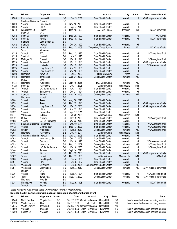| Att.             | Winner                         | Opponent                              | Score          | <b>Date</b>                     | Arena <sup>^</sup>                                  | City                    | <b>State</b>         | <b>Tournament Round</b>                  |
|------------------|--------------------------------|---------------------------------------|----------------|---------------------------------|-----------------------------------------------------|-------------------------|----------------------|------------------------------------------|
| 10,300           | Pepperdine                     | Kansas St.                            | $3-0$          | Dec. 9, 2011                    | Stan Sheriff Center                                 | Honolulu                | HI                   | NCAA regional semifinals                 |
|                  | Southern California *Hawaii    |                                       | $3-2$          |                                 |                                                     |                         |                      |                                          |
| 10,300           | *Hawaii                        | San Jose St.                          | $3-0$          | Nov. 15, 2003                   | <b>Stan Sheriff Center</b>                          | Honolulu                | HI                   |                                          |
| 10,300           | *Hawaii                        | <b>UCLA</b>                           | $3-0$          | Sept. 7, 2013                   | <b>Stan Sheriff Center</b>                          | Honolulu                | H <sub>II</sub>      |                                          |
| 10,270           | Long Beach St.<br>Penn St.     | Florida<br><b>BYU</b>                 | $3-0$<br>$3-1$ | Dec. 16, 1993                   | <b>UW Field House</b>                               | Madison                 | WI                   | <b>NCAA</b> semifinals                   |
| 10,252           | Penn St.                       | Stanford                              | $3-0$          | Dec. 20, 1999                   | Stan Sheriff Center                                 | Honolulu                | HI                   | <b>NCAA</b> final                        |
| 10,252           | Penn St.                       | Pacific                               | $3-2$          | Dec. 18, 1999                   | Stan Sheriff Center                                 | Honolulu                | H <sub>l</sub>       | <b>NCAA</b> semifinals                   |
|                  | Stanford                       | Long Beach St.                        | $3-0$          |                                 |                                                     |                         |                      |                                          |
| 10,252           | Stanford                       | *Hawaii                               | $3-0$          | Oct. 24, 1999                   | Stan Sheriff Center                                 | Honolulu                | HI                   |                                          |
| 10,246           | Penn St.                       | Hawaii                                | $3 - 1$        | Dec. 17, 2009                   | Tampa Bay Times Forum                               | Tampa                   | FL                   | <b>NCAA</b> semifinals                   |
|                  | Texas                          | Minnesota                             | $3-1$          |                                 |                                                     |                         |                      |                                          |
| 10,225           | *Hawaii                        | <b>BYU</b>                            | $3-0$          | Dec. 13, 1996                   | Stan Sheriff Center                                 | Honolulu                | HI<br>H <sub>l</sub> | NCAA regional final                      |
| 10,225<br>10,225 | Stanford<br>Michigan St.       | *Hawaii<br>*Hawaii                    | $3-1$<br>$3-2$ | Nov. 2, 1996<br>Dec. 8, 1995    | <b>Stan Sheriff Center</b><br>Stan Sheriff Center   | Honolulu<br>Honolulu    | HI                   | NCAA regional final                      |
| 10,225           | *Hawaii                        | Arizona St.                           | $3-1$          | Dec. 7, 1995                    | <b>Stan Sheriff Center</b>                          | Honolulu                | HI                   | NCAA regional semifinals                 |
| 10,225           | *Hawaii                        | Louisville                            | $3-0$          | Dec. 3, 1995                    | <b>Stan Sheriff Center</b>                          | Honolulu                | HI                   | NCAA second round                        |
| 10,225           | *Hawaii                        | Long Beach St.                        | $3-0$          | Nov. 17, 1995                   | Stan Sheriff Center                                 | Honolulu                | H <sub>l</sub>       |                                          |
| 10,225           | *Hawaii                        | Long Beach St.                        | $3-0$          | Nov. 16, 1995                   | <b>Stan Sheriff Center</b>                          | Honolulu                | H <sub>l</sub>       |                                          |
| 10,203           | Nebraska                       | *lowa St.                             | $3-0$          | Nov. 7, 2009                    | <b>Hilton Coliseum</b>                              | Ames                    | IA                   |                                          |
| 10,158           | Nebraska                       | Tennessee                             | $3-0$          | Aug. 24, 2007                   | CenturyLink Center                                  | Omaha                   | <b>NE</b>            |                                          |
|                  | <b>UCLA</b>                    | Utah                                  | $3-0$          |                                 |                                                     |                         |                      |                                          |
| 10,131           | Nebraska                       | *Creighton                            | $3-2$          | Sept. 15, 2015                  | D.J. Sokol Arena                                    | Omaha                   | <b>NE</b>            |                                          |
| 10,126<br>10,031 | Penn St.<br>*Hawaii            | *Minnesota<br><b>UC Santa Barbara</b> | $3-0$<br>$3-2$ | Oct. 11, 2008<br>Nov. 11, 1994  | <b>Williams Arena</b><br><b>Stan Sheriff Center</b> | Minneapolis<br>Honolulu | <b>MN</b><br>HI      |                                          |
| 10,031           | *Hawaii                        | San Jose St.                          | $3-1$          | Oct. 21, 1994                   | Stan Sheriff Center                                 | Honolulu                | H <sub>l</sub>       |                                          |
| 10,028           | Stanford                       | Penn St.                              | $3-2$          | Aug. 26, 2005                   | CenturyLink Center                                  | Omaha                   | <b>NE</b>            |                                          |
|                  | Nebraska                       | Hawaii                                | $3-0$          |                                 |                                                     |                         |                      |                                          |
| 9,806            | *Hawaii                        | <b>Texas</b>                          | $3 - 1$        | Aug. 30, 2013                   | Stan Sheriff Center                                 | Honolulu                | HI                   |                                          |
| 9,793            | *Hawaii                        | Texas                                 | $3 - 1$        | Dec. 12, 1996                   | <b>Stan Sheriff Center</b>                          | Honolulu                | HI                   | NCAA regional semifinals                 |
| 9,774            | *Hawaii                        | Long Beach St.                        | $3-2$          | Dec. 7, 2000                    | Stan Sheriff Center                                 | Honolulu                | H <sub>l</sub>       | NCAA regional semifinals                 |
| 9,723            | *Hawaii                        | <b>UNLV</b>                           | $3-0$          | Nov. 17, 1996                   | <b>Stan Sheriff Center</b>                          | Honolulu                | HI                   |                                          |
| 9,692<br>9,671   | *Hawaii<br>*Minnesota          | Pepperdine<br>Indiana                 | $3-1$<br>$3-0$ | Sept. 17, 2011<br>Oct. 29, 2005 | <b>Stan Sheriff Center</b><br>Williams Arena        | Honolulu<br>Minneapolis | HI<br><b>MN</b>      |                                          |
| 9,572            | <b>UCLA</b>                    | *Hawaii                               | $3-1$          | Dec. 9, 2006                    | <b>Stan Sheriff Center</b>                          | Honolulu                | H <sub>l</sub>       | NCAA regional final                      |
| 9,458            | *Hawaii                        | Cal St. Northridge                    | $3-0$          | Nov. 23, 2013                   | <b>Stan Sheriff Center</b>                          | Honolulu                | HI                   |                                          |
| 9,446            | Southern California Pepperdine |                                       | $3-2$          | Dec. 10, 2011                   | <b>Stan Sheriff Center</b>                          | Honolulu                | H <sub>l</sub>       | NCAA regional final                      |
| 9,412            | *Hawaii                        | Georgia Tech                          | $3-1$          | Dec. 13, 2003                   | Stan Sheriff Center                                 | Honolulu                | HI                   | NCAA regional final                      |
| 9,382            | Oregon                         | *Nebraska                             | $3-1$          | Dec. 8, 2012                    | CenturyLink Center                                  | Omaha                   | <b>NE</b>            | NCAA regional final                      |
| 9,354            | Nebraska                       | *Minnesota                            | $3-2$          | Oct. 15, 2011                   | <b>Williams Arena</b>                               | Minneapolis             | <b>MN</b>            |                                          |
| 9,345            | Southern California *Hawaii    |                                       | $3-0$          | Aug. 23, 2003                   | <b>Stan Sheriff Center</b>                          | Honolulu                | H <sub>l</sub>       |                                          |
| 9,293            | *Hawaii                        | New Mexico St.                        | $3-1$          | Oct. 17, 2009                   | <b>Stan Sheriff Center</b>                          | Honolulu                | HI                   |                                          |
| 9,256<br>9,253   | *Hawaii<br>Texas               | Colorado<br>Nebraska                  | $3-0$<br>$3-1$ | Dec. 8, 1996<br>Dec. 12, 2009   | <b>Stan Sheriff Center</b><br>CenturyLink Center    | Honolulu<br>Omaha       | HI<br><b>NE</b>      | NCAA second round<br>NCAA regional final |
| 9,219            | *Hawaii                        | UC Santa Barbara                      | $3-1$          | Dec. 8, 2000                    | Stan Sheriff Center                                 | Honolulu                | HI                   | NCAA regional final                      |
| 9,144            | *Hawaii                        | Arizona                               | $3-1$          | Sept. 14, 2013                  | Stan Sheriff Center                                 | Honolulu                | HI                   |                                          |
| 9,111            | *Hawaii                        | Illinois                              | $3-0$          | Dec. 12, 2003                   | Stan Sheriff Center                                 | Honolulu                | H <sub>l</sub>       | NCAA regional semifinals                 |
| 9,107            | <b>Texas</b>                   | Hawaii                                | $3-0$          | Dec. 17, 1988                   | <b>Williams Arena</b>                               | Minneapolis             | <b>MN</b>            | <b>NCAA</b> final                        |
| 9,080            | *Hawaii                        | San Diego St.                         | $3-0$          | Oct. 4, 1996                    | <b>Stan Sheriff Center</b>                          | Honolulu                | HI                   |                                          |
| 8,987            | *Hawaii                        | SMU                                   | $3-0$          | Nov. 8, 1997                    | <b>Stan Sheriff Center</b>                          | Honolulu                | H <sub>II</sub>      |                                          |
| 8,976            | *Nebraska                      | Oklahoma                              | $3-0$          | Oct. 6, 2001                    | <b>Bob Devaney Sports Center</b>                    | Lincoln                 | <b>NE</b>            |                                          |
| 8,954            | *Nebraska                      | Washington                            | $3-0$          | Dec. 7, 2012                    | CenturyLink Center                                  | Omaha                   | <b>NE</b>            | NCAA regional semifinals                 |
| 8,936            | Oregon<br>*Hawaii              | BYU<br>Idaho                          | $3-1$<br>$3-0$ | Dec. 4, 1994                    | Stan Sheriff Center                                 | Honolulu                | H <sub>l</sub>       | NCAA second round                        |
| 8,935            | Texas                          | Texas A&M                             | $3-0$          | Dec. 11, 2009                   | CenturyLink Center                                  | Omaha                   | <b>NE</b>            | NCAA regional semifinals                 |
|                  | Nebraska                       | lowa St.                              | $3-0$          |                                 |                                                     |                         |                      |                                          |
| 8,924            | Miami (OH)                     | Nevada                                | $3-0$          | Dec. 5, 1998                    | Stan Sheriff Center                                 | Honolulu                | H <sub>l</sub>       | NCAA first round                         |
|                  | *Hawaii                        | <b>Brown</b>                          | $3-0$          |                                 |                                                     |                         |                      |                                          |

*\*Host institution. ^All arenas listed under current (or most recent) name.*

**Matches held in conjunction with a special promotion of another athletics event**

| Att.   | Winner          | Opponent Score |         | Date          | Arena <sup>^</sup>             | Citv        | <b>State</b> | Event                                    |
|--------|-----------------|----------------|---------|---------------|--------------------------------|-------------|--------------|------------------------------------------|
| 19.246 | North Carolina  | Virginia Tech  | $3 - 1$ |               | Oct. 17, 2017 Carmichael Arena | Chapel Hill | ΝC           | Men's basketball season-opening practice |
| 16.126 | *North Carolina | Duke           | 3-2     | Oct. 17, 2003 | Smith Center                   | Chapel Hill | <b>NC</b>    | Men's basketball season-opening practice |
| 15,945 | *North Carolina | Maryland       | $3-2$   |               | Oct. 25, 2013 Carmichael Arena | Chapel Hill | ΝC           |                                          |
| 14.800 | *Kansas         | Missouri       | 3-0     |               | Oct. 18, 1996 Allen Fieldhouse | Lawrence    | ΚS           | Men's basketball season-opening practice |
| 14.300 | Kansas St.      | *Kansas        | 3-0     |               | Oct. 14, 1995 Allen Fieldhouse | Lawrence    | ΚS           | Men's basketball season-opening practice |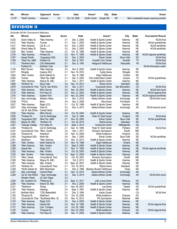| 13,797             | *North Carolina                              | Clemson                            | $3-0$          | Oct. 24, 2008                  | Smith Center<br>Chapel Hill                      | <b>NC</b>          |                        | Men's basketball season-opening practice |  |  |
|--------------------|----------------------------------------------|------------------------------------|----------------|--------------------------------|--------------------------------------------------|--------------------|------------------------|------------------------------------------|--|--|
| <b>DIVISION II</b> |                                              |                                    |                |                                |                                                  |                    |                        |                                          |  |  |
| Att.               | (Includes NCAA Tournament Matches)<br>Winner | Opponent                           | <b>Score</b>   | <b>Date</b>                    | Arena <sup>^</sup>                               | City               | <b>State</b>           | <b>Tournament Round</b>                  |  |  |
| 5,025              |                                              |                                    | $3-1$          | Dec. 3, 2005                   |                                                  |                    | <b>NE</b>              | <b>NCAA</b> final                        |  |  |
| 4,412              | Grand Valley St.<br>*Neb.-Kearney            | *Neb.-Kearney<br>Truman            | $3-1$          | Dec. 1, 2005                   | Health & Sports Center<br>Health & Sports Center | Kearney<br>Kearney | <b>NE</b>              | NCAA quarterfinals                       |  |  |
| 4,331              | *Neb.-Kearney                                | Cal St. L.A.                       | $3-0$          | Dec. 2, 2005                   | Health & Sports Center                           | Kearney            | <b>NE</b>              | <b>NCAA</b> semifinals                   |  |  |
| 3,850              | Grand Valley St.                             | Tampa                              | $3-2$          | Dec. 2, 2005                   | Health & Sports Center                           | Kearney            | <b>NE</b>              | <b>NCAA</b> semifinals                   |  |  |
| 3,520              | Neb. Omaha                                   | *Neb.-Kearney                      | $3-2$          | Oct. 15, 1996                  | Health & Sports Center                           | Kearney            | <b>NE</b>              |                                          |  |  |
| 3,316              | *Neb.-Kearney                                | Portland St.                       | $3-2$          | Nov. 17, 1995                  | Health & Sports Center                           | Kearney            | <b>NE</b>              | NCAA regional semifinals                 |  |  |
| 3,307              | Hawaii Pacific                               | *Augustana (SD)                    | $3-0$          | Dec. 2, 2000                   | Elmen Center                                     | Sioux Falls        | <b>SD</b>              | <b>NCAA</b> final                        |  |  |
| 3,188              | *West Tex. A&M                               | Portland St.                       | $3-0$          | Dec. 9, 1991                   | Amarillo Civic Center                            | Amarillo           | <b>ΤΧ</b>              | NCAA final                               |  |  |
| 3,112              | *Northern Mich.                              | <b>CSU Bakersfield</b>             | $3-1$          | Dec. 6, 1993                   | Hedgcock Fieldhouse                              | Marquette          | MI                     | <b>NCAA</b> final                        |  |  |
|                    | Portland St.                                 | Northern Colo.                     | $3-0$          |                                |                                                  |                    |                        | NCAA third-place match                   |  |  |
| 3,109              | <b>MSU Denver</b>                            | *Neb.-Kearney                      | $3-2$          | Nov. 8, 2002                   | Health & Sports Center                           | Kearney            | <b>NE</b>              |                                          |  |  |
| 3,017              | Wingate                                      | Queens (NC)                        | $3-1$          | Nov. 18, 2016                  | Cuddy Arena                                      | Wingate            | NC                     |                                          |  |  |
| 3,004<br>2,950     | *Neb. Omaha<br>Truman                        | North Dakota St.<br>*West Tex. A&M | $3-1$<br>$3-1$ | Nov. 8, 1986<br>Dec. 5, 2002   | Sapp Fieldhouse<br>First United Bank Center      | Omaha<br>Canyon    | <b>NE</b><br><b>TX</b> | NCAA quarterfinals                       |  |  |
| 2,901              | *Neb.-Kearney                                | Wayne St. (NE)                     | $3-1$          | Nov. 1, 2011                   | Health & Sports Center                           | Kearney            | <b>NE</b>              |                                          |  |  |
| 2,890              | *Northern St.                                | Sioux Falls                        | $3-0$          | Nov. 15, 2013                  | <b>Wachs Arena</b>                               | Aberdeen           | <b>SD</b>              |                                          |  |  |
| 2,879              | Concordia-St. Paul                           | *Cal St. San B'dino                | $3-0$          | Dec. 3, 2011                   | Coussoulis Arena                                 | San Bernardino     | CA                     | NCAA final                               |  |  |
| 2,814              | *Neb.-Kearney                                | <b>MSU Denver</b>                  | $3-0$          | Nov. 19, 2004                  | Health & Sports Center                           | Kearney            | <b>NE</b>              | NCAA first round                         |  |  |
| 2,776              | *Neb.-Kearney                                | Fort Hays St.                      | $3-0$          | Nov. 21, 2004                  | Health & Sports Center                           | Kearney            | <b>NE</b>              | NCAA regional final                      |  |  |
| 2,743              | *Neb.-Kearney                                | Eastern N.M.                       | $3-0$          | Nov. 20, 2004                  | Health & Sports Center                           | Kearney            | <b>NE</b>              | NCAA regional semifinals                 |  |  |
| 2,710              | Alas. Anchorage                              | Western Wash.                      | $3-1$          | Dec. 3, 2016                   | Alaska Airlines Center                           | Anchorage          | AK                     | NCAA third round                         |  |  |
| 2,638              | *FGCU                                        | Barry                              | $3-0$          | Nov. 2, 2006                   | Alico Arena                                      | Fort Myers         | FL.                    |                                          |  |  |
| 2,637              | *Neb.-Kearney                                | Regis (CO)                         | $3-1$          | Oct. 22, 1999                  | Health & Sports Center                           | Kearney            | <b>NE</b>              |                                          |  |  |
| 2,627              | *Alas. Anchorage<br>Cal St. San B'dino       | Dixie St.<br>Central Wash.         | $3-2$<br>$3-2$ | Dec. 4, 2015                   | Alaska Airlines Center                           | Anchorage          | AK                     | NCAA second round                        |  |  |
| 2,553              | *Neb.-Kearney                                | <b>MSU Denver</b>                  | $3-0$          | Oct. 29, 2004                  | Health & Sports Center                           | Kearney            | <b>NE</b>              |                                          |  |  |
| 2,550              | *Portland St.                                | Cal St. Northridge                 | $3-0$          | Dec. 8, 1984                   | Peter W. Stott Center                            | Portland           | <b>OR</b>              | <b>NCAA</b> final                        |  |  |
| 2,538              | *Augustana (SD)                              | West Tex. A&M                      | $3-1$          | Nov. 30, 2000                  | Elmen Center                                     | Sioux Falls        | SD                     | NCAA quarterfinals                       |  |  |
| 2,522              | Wayne St. (NE)                               | *Northern St.                      | $3-1$          | Oct. 30, 2015                  | <b>Wachs Arena</b>                               | Aberdeen           | SD                     |                                          |  |  |
| 2,521              | *Georgia College                             | Fort Valley St.                    | $3-0$          | Sept. 5, 2013                  | <b>Centennial Center</b>                         | Milledgeville      | GA                     |                                          |  |  |
| 2,450              | *Portland St.                                | Cal St. Northridge                 | $3-1$          | Dec. 14, 1985                  | Peter W. Stott Center                            | Portland           | <b>OR</b>              | <b>NCAA</b> final                        |  |  |
| 2,441              | Concordia-St. Paul                           | *Minn. Duluth                      | $3-0$          | Nov. 1, 2011                   | Romano Gymnasium                                 | Duluth             | <b>MN</b>              |                                          |  |  |
| 2,432              | *Emporia St.                                 | Washburn                           | $3-0$          | Nov. 14, 2008                  | <b>White Auditorium</b>                          | Emporia            | KS                     |                                          |  |  |
| 2,405              | *Augustana (SD)                              | North Ala.                         | $3-0$          | Dec. 1, 2000                   | Elmen Center                                     | Sioux Falls        | <b>SD</b>              | <b>NCAA</b> semifinals                   |  |  |
| 2,401              | Washburn                                     | *Neb.-Kearney<br>North Dakota St.  | $3-2$          | Nov. 12, 2013                  | Health & Sports Center                           | Kearney            | <b>NE</b><br><b>NE</b> |                                          |  |  |
| 2,391<br>2,388     | *Neb. Omaha<br>*Neb.-Kearney                 | Neb. Omaha                         | $3-0$<br>$3-2$ | Nov. 15, 1996<br>Sept. 9, 2009 | Sapp Fieldhouse<br>Health & Sports Center        | Omaha<br>Kearney   | <b>NE</b>              |                                          |  |  |
| 2,385              | Hawaii Hilo                                  | Regis (CO)                         | $3-1$          | Nov. 17, 1995                  | Health & Sports Center                           | Kearney            | <b>NE</b>              | NCAA regional semifinals                 |  |  |
| 2,323              | *Neb.-Kearney                                | Neb. Omaha                         | $3-2$          | Oct. 25, 2005                  | Health & Sports Center                           | Kearney            | <b>NE</b>              |                                          |  |  |
| 2,322              | Neb. Omaha                                   | *Neb.-Kearney                      | $3-2$          | Sept. 12, 2000                 | Health & Sports Center                           | Kearney            | <b>NE</b>              |                                          |  |  |
| 2,312              | *Minn. Duluth                                | Concordia-St. Paul                 | $3-2$          | Oct. 30, 2007                  | Romano Gymnasium                                 | Duluth             | ΜN                     |                                          |  |  |
| 2,308              | *Neb.-Kearney                                | Wayne St. (NE)                     | $3-0$          | Oct. 8, 2013                   | Health & Sports Center                           | Kearney            | <b>NE</b>              |                                          |  |  |
| 2,301              | *Neb.-Kearney                                | Neb. Omaha                         | $3-2$          | Sept. 25, 2007                 | Health & Sports Center                           | Kearney            | <b>NE</b>              |                                          |  |  |
| 2,270              | *Northern St.                                | Concordia-St. Paul                 | $3-1$          | Oct. 16, 2015                  | Wachs Arena                                      | Aberdeen           | SD                     |                                          |  |  |
| 2,259              | *North Dakota St.                            | <b>MSU Moorhead</b>                | $3-1$          | Nov. 5, 1986                   | Bentson Bunker Fieldhouse                        | Fargo              | <b>ND</b>              |                                          |  |  |
| 2,257<br>2,256     | Alas. Anchorage<br>Cal St. San B'dino        | Central Wash.                      | $3-1$<br>$3-2$ | Nov. 12, 2015<br>Dec. 5, 2015  | Alaska Airlines Center<br>Alaska Airlines Center | Anchorage          | AK<br>AK               | NCAA third round                         |  |  |
|                    | Western Wash.                                | * Alas. Anchorage<br>UC San Diego  | $3-2$          |                                |                                                  | Anchorage          |                        |                                          |  |  |
| 2,250              | Mo. Southern St.                             | *Pittsburg St.                     | $3-2$          | Sept. 21, 2011                 | John Lance Arena                                 | Pittsburg          | KS                     |                                          |  |  |
| 2,246              | *Neb.-Kearney                                | Wayne St. (NE)                     | $3-1$          | Nov. 3, 2009                   | Health & Sports Center                           | Kearney            | $\sf NE$               |                                          |  |  |
| 2,231              | *Washburn                                    | Tampa                              | $3-1$          | Nov. 29, 2007                  | Lee Arena                                        | Topeka             | KS                     | NCAA quarterfinals                       |  |  |
| 2,185              | *Neb.-Kearney                                | Hastings                           | $3-0$          | Sept. 4, 1997                  | Health & Sports Center                           | Kearney            | <b>NE</b>              |                                          |  |  |
| 2,181              | Northern Mich.                               | *CSU Bakersfield                   | $3-1$          | Dec. 5, 1994                   | Icardo Center                                    |                    | CA                     | NCAA final                               |  |  |
| 2,165              | *Emporia St.                                 | Washburn                           | $3-2$          | Oct. 16, 2009                  | White Auditorium                                 | Emporia            | KS                     |                                          |  |  |
| 2,152              | Concordia-St. Paul                           | *Southwest Minn. St.               | $3-0$          | Nov. 10, 2012                  | PE Gymnasium                                     | Marshall           | ΜN                     |                                          |  |  |
| 2,133<br>2,122     | *Neb.-Kearney<br>*Neb.-Kearney               | Regis (CO)<br>Hawaii Hilo          | $3-0$<br>$3-2$ | Nov. 4, 2005<br>Nov. 18, 1995  | Health & Sports Center<br>Health & Sports Center | Kearney            | <b>NE</b><br><b>NE</b> | NCAA regional final                      |  |  |
| 2,113              | *Neb.-Kearney                                | Colo. Christian                    | $3-0$          | Oct. 29, 1999                  | Health & Sports Center                           | Kearney<br>Kearney | <b>NE</b>              |                                          |  |  |
| 2,105              | Truman                                       | *Emporia St.                       | $3-0$          | Nov. 23, 2008                  | <b>White Auditorium</b>                          | Emporia            | KS                     | NCAA regional final                      |  |  |
| 2,098              | *Neb.-Kearney                                | Fort Hays St.                      | $3-0$          | Nov. 11, 2005                  | Health & Sports Center                           | Kearney            | <b>NE</b>              |                                          |  |  |

**Att. Winner Opponent Score Date Arena^ City State Event**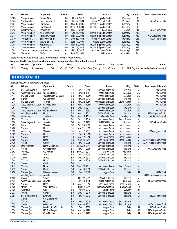| Att.  | Winner            | <b>Opponent</b>    | <b>Score</b> | <b>Date</b>    | Arena <sup>^</sup>     | City      | <b>State</b> | <b>Tournament Round</b> |
|-------|-------------------|--------------------|--------------|----------------|------------------------|-----------|--------------|-------------------------|
| 2.063 | *Neb.-Kearney     | Central Okla.      | $3-0$        | Nov. 4, 2017   | Health & Sports Center | Kearnev   | <b>NE</b>    |                         |
| 2,045 | *Portland St.     | Sam Houston St.    | $3-0$        | Dec. 7. 1984   | Peter W. Stott Center  | Portland  | 0R           | NCAA semifinals         |
| 2,031 | *Neb.-Kearnev     | Fort Lewis         | $3-0$        | Nov. 12, 2005  | Health & Sports Center | Kearnev   | <b>NE</b>    |                         |
| 2,017 | *Neb.-Kearney     | Fort Hays St.      | $3-0$        | Sept. 21, 2004 | Health & Sports Center | Kearney   | <b>NE</b>    |                         |
| 2,015 | Western Wash.     | *Washburn          | $3-1$        | Nov. 30, 2007  | Lee Arena              | Topeka    | KS           | NCAA semifinals         |
| 2,013 | *Neb.-Kearney     | Neb. Weslevan      | $3-0$        | Oct. 31, 1990  | Health & Sports Center | Kearney   | <b>NE</b>    |                         |
| 2,011 | *Neb.-Kearney     | Abilene Christian  | $3-0$        | Nov. 20, 2005  | Health & Sports Center | Kearney   | <b>NE</b>    | NCAA regional final     |
| 2,010 | *Portland St.     | Sam Houston St.    | $3-0$        | Dec. 13, 1985  | Peter W. Stott Center  | Portland  | <b>OR</b>    | NCAA semifinals         |
| 2.005 | *Neb.-Kearney     | Wayne St. (NE)     | $3-1$        | Sept. 11, 2001 | Viaero Event Center    | Kearney   | <b>NE</b>    |                         |
| 2,003 | *Neb.-Kearney     | Fort Hays St.      | $3-0$        | Nov. 14, 2004  | Health & Sports Center | Kearnev   | <b>NE</b>    |                         |
| 2,003 | *Neb.-Kearnev     | Central Mo.        | $3-0$        | Nov. 9. 2012   | Health & Sports Center | Kearney   | <b>NE</b>    |                         |
| 2,002 | * Alas. Anchorage | Northwest Nazarene | $3-1$        | Nov. 7, 2015   | Alaska Airlines Center | Anchorage | AK           |                         |
| 2.000 | *Benedict         | Clafiin            | $3-1$        | Sept. 20, 2011 | <b>HRC</b> Arena       | Columbia  | <b>SC</b>    |                         |

*\*Host institution. ^All arenas listed under current (or most recent) name.*

**Matches held in conjunction with a special promotion of another athletics event**

| Att.  | Winner Opponent Score    | <b>Date</b>   | Arena <sup>^</sup> City State |  | Event                                                                           |
|-------|--------------------------|---------------|-------------------------------|--|---------------------------------------------------------------------------------|
| 3,219 | *Quincy Ky. Wesleyan 3-0 | Oct. 10, 1997 |                               |  | Blue Devil Gym (Quincy H.S.) Quincy IL U.S. Olympic team volleyball match (men) |

#### DIVISION III

| (Includes NCAA Tournament Matches) |                       |                       |              |                |                       |                     |                |                          |
|------------------------------------|-----------------------|-----------------------|--------------|----------------|-----------------------|---------------------|----------------|--------------------------|
| Att.                               | Winner                | Opponent              | <b>Score</b> | Date           | Arena <sup>^</sup>    | City                | <b>State</b>   | <b>Tournament Round</b>  |
| 3,517                              | St. Thomas (MN)       | Calvin                | $3-2$        | Nov. 17, 2012  | DeVos Fieldhouse      | Holland             | MI             | <b>NCAA</b> final        |
| 3,423                              | *Washington-St. Louis | UC San Diego          | $3-2$        | Nov. 23, 1991  | <b>WU Field House</b> | St. Louis           | <b>MO</b>      | NCAA final               |
| 3,417                              | UC San Diego          | *Washington-St. Louis | $3-2$        | Nov. 17, 1990  | <b>WU Field House</b> | St. Louis           | <b>MO</b>      | <b>NCAA</b> final        |
| 3,356                              | Calvin                | Cal Lutheran          | $3-2$        | Nov. 23, 2013  | DeVos Fieldhouse      | Holland             | MI             | <b>NCAA</b> final        |
| 3,275                              | UC San Diego          | *Calvin               | $3-2$        | Nov. 22, 1986  | Knollcrest Fieldhouse | <b>Grand Rapids</b> | MI             | NCAA final               |
| 3,225                              | *Washington-St. Louis | Ohio Northern         | $3-0$        | Nov. 18, 1989  | <b>WU Field House</b> | St. Louis           | <b>MO</b>      | <b>NCAA</b> final        |
| 3,051                              | *Hope                 | Calvin                | $3-2$        | Oct. 18, 2013  | DeVos Fieldhouse      | Holland             | MI             |                          |
| 3,024                              | *Washington-St. Louis | UC San Diego          | $3-0$        | Nov. 21, 1992  | <b>WU Field House</b> | St. Louis           | <b>MO</b>      | <b>NCAA</b> final        |
| 3,004                              | Wis.-Stevens Point    | Hope                  | $3-0$        | Nov. 21, 2013  | DeVos Fieldhouse      | Holland             | MI             | NCAA quarterfinals       |
| 3,000                              | Wittenberg            | *Juniata              | $3-1$        | Nov. 15, 2015  | Memorial Gym          | Huntingdon          | PA             | NCAA third round         |
| 2,978                              | *Calvin               | Hope                  | $3-1$        | Oct. 22, 2014  | Van Noord Arena       | <b>Grand Rapids</b> | MI             |                          |
| 2,800                              | *Washington-St. Louis | Juniata               | $3-0$        | Nov. 17, 1989  | <b>WU Field House</b> | St. Louis           | МO             | NCAA semifinals          |
| 2,725                              | Hope                  | *Calvin               | $3-2$        | Oct. 28, 2009  | Van Noord Arena       | <b>Grand Rapids</b> | MI             |                          |
| 2,720                              | *Calvin               | Hope                  | $3-1$        | Sept. 21, 2012 | Van Noord Arena       | <b>Grand Rapids</b> | MI             |                          |
| 2,623                              | Wittenberg            | *Calvin               | $3-1$        | Nov. 12, 2011  | Van Noord Arena       | <b>Grand Rapids</b> | MI             | NCAA regional final      |
| 2,622                              | *Calvin               | Hope                  | $3-2$        | Nov. 9, 2013   | Van Noord Arena       | <b>Grand Rapids</b> | MI             |                          |
| 2,527                              | *Calvin               | Hope                  | $3-0$        | Sept. 12, 2015 | Van Noord Arena       | <b>Grand Rapids</b> | MI             |                          |
| 2,500                              | *Calvin               | Hope                  | $3-0$        | Nov. 11, 2011  | Van Noord Arena       | <b>Grand Rapids</b> | MI             | NCAA regional semifinals |
| 2,430                              | *Hope                 | Calvin                | $3-0$        | Nov. 13, 2009  | DeVos Fieldhouse      | Holland             | MI             | NCAA regional semifinals |
| 2,430                              | Ohio Northern         | North Central (IL)    | $3-1$        | Sept. 20, 2014 | DeVos Fieldhouse      | Holland             | MI             |                          |
| 2,411                              | *Hope                 | Ohio Northern         | $3-1$        | Nov. 14, 2009  | DeVos Fieldhouse      | Holland             | MI             | NCAA regional final      |
| 2,342                              | *Rhodes               | Oglethorpe            | $3-2$        | Sept. 28, 2013 | Mallory Gym           | Memphis             | <b>TN</b>      |                          |
| 2,307                              | Calvin                | *Hope                 | $3-2$        | Oct. 17, 2008  | DeVos Fieldhouse      | Holland             | MI             |                          |
| 2,279                              | Calvin                | *Hope                 | $3-0$        | Oct. 20, 2012  | DeVos Fieldhouse      | Holland             | MI             |                          |
| 2,245                              | *Calvin               | Hope                  | $3-2$        | Nov. 8, 2014   | DeVos Fieldhouse      | Holland             | MI             |                          |
| 2,214                              | *Hope                 | Calvin                | $3-0$        |                |                       |                     |                |                          |
| 2,212                              | *Calvin               | Hope                  | $3-0$        | Sept. 28, 2011 | Van Noord Arena       | <b>Grand Rapids</b> | MI             |                          |
| 2,212                              | *Hope                 | Calvin                | $3-0$        | Nov. 6, 2010   | DeVos Fieldhouse      | Holland             | MI             |                          |
| 2,200                              | *Central (IA)         | Wis.-Whitewater       | $3-0$        | Dec. 2, 2000   | Kuyper Gym            | Pella               | IA             | <b>NCAA</b> final        |
|                                    | Washington-St. Louis  | Juniata               | $3-2$        |                |                       |                     |                | NCAA third-place match   |
| 2,163                              | Calvin                | *Hope                 | $3-1$        | Oct. 28, 2011  | DeVos Fieldhouse      | Holland             | MI             |                          |
| 2,131                              | *Washington-St. Louis | Juniata               | $3-1$        | Nov. 18, 1995  | <b>WU Field House</b> | St. Louis           | МO             | NCAA quarterfinals       |
| 2,121                              | *Calvin               | Hope                  | $3-0$        | Sept. 17, 2013 | Van Noord Arena       | <b>Grand Rapids</b> | MI             |                          |
| 2,100                              | *Trinity (TX)         | Wis.-Platteville      | $3-1$        | Sept. 2, 2011  | Sams Gymnasium        | San Antonio         | TX             |                          |
| 2,100                              | *Wartburg             | Coe                   | $3-0$        | Nov. 9, 2013   | Levick Arena          | Waverly             | IA             |                          |
| 2,073                              | *Hope                 | Calvin                | $3-0$        | Oct. 13, 2010  | DeVos Fieldhouse      | Holland             | MI             |                          |
| 2,054                              | St. Thomas (MN)       | Elmhurst              | $3-0$        | Nov. 16, 2012  | DeVos Fieldhouse      | Holland             | MI             | <b>NCAA</b> semifinals   |
|                                    | Calvin                | Chris. Newport        | $3 - 1$      |                |                       |                     |                |                          |
| 2,037                              | *Calvin               | Hope                  | $3-0$        | Nov. 7, 2015   | Van Noord Arena       | <b>Grand Rapids</b> | MI             |                          |
| 2,025                              | Calvin                | Wittenburg            | $3-2$        | Nov. 16, 2013  | Van Noord Arena       | <b>Grand Rapids</b> | M <sub>l</sub> | NCAA regional final      |
| 2,000                              | *Central (IA)         | Washington-St. Louis  | $3-1$        | Dec. 1, 2000   | Kuyper Gym            | Pella               | IA             | NCAA semifinals          |
| 2,000                              | *Central (IA)         | UC San Diego          | $3-0$        | Nov. 20, 1999  | Kuyper Gym            | Pella               | IA             | NCAA quarterfinals       |
| 2,000                              | *Central (IA)         | Ohio Northern         | $3-1$        | Nov. 22, 1997  | Kuyper Gym            | Pella               | IA             | NCAA quarterfinals       |